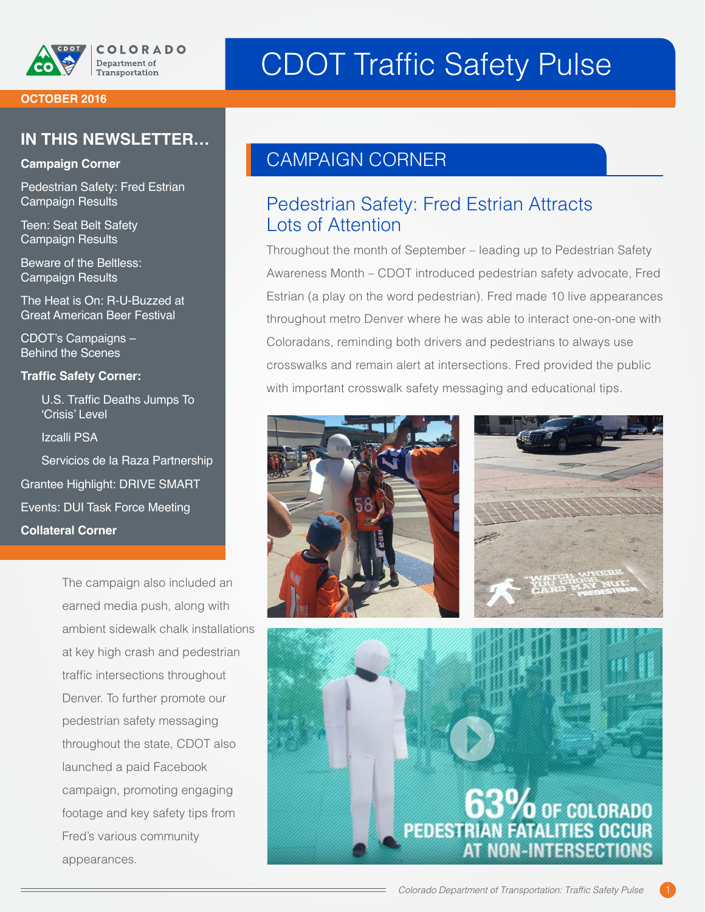

# CDOT Traffic Safety Pulse

#### **OCTOBER 2016**

#### **IN THIS NEWSLETTER…**

#### **Campaign Corner**

Pedestrian Safety: Fred Estrian Campaign Results

Teen: Seat Belt Safety Campaign Results

Beware of the Beltless: Campaign Results

The Heat is On: R-U-Buzzed at Great American Beer Festival

CDOT's Campaigns – **Behind the Scenes** 

#### **Traffic Safety Corner:**

U.S. Traffic Deaths Jumps To 'Crisis' Level

Izcalli PSA

Servicios de la Raza Partnership Grantee Highlight: DRIVE SMART Events: DUI Task Force Meeting **Collateral Corner**

> The campaign also included an earned media push, along with ambient sidewalk chalk installations at key high crash and pedestrian traffic intersections throughout Denver. To further promote our pedestrian safety messaging throughout the state, CDOT also launched a paid Facebook campaign, promoting engaging footage and key safety tips from Fred's various community appearances.

#### CAMPAIGN CORNER

#### Pedestrian Safety: Fred Estrian Attracts Lots of Attention

Throughout the month of September – leading up to Pedestrian Safety Awareness Month – CDOT introduced pedestrian safety advocate, Fred Estrian (a play on the word pedestrian). Fred made 10 live appearances throughout metro Denver where he was able to interact one-on-one with Coloradans, reminding both drivers and pedestrians to always use crosswalks and remain alert at intersections. Fred provided the public with important crosswalk safety messaging and educational tips.





## 63% OF COLORADO **PEDEST N-INTERSECTION**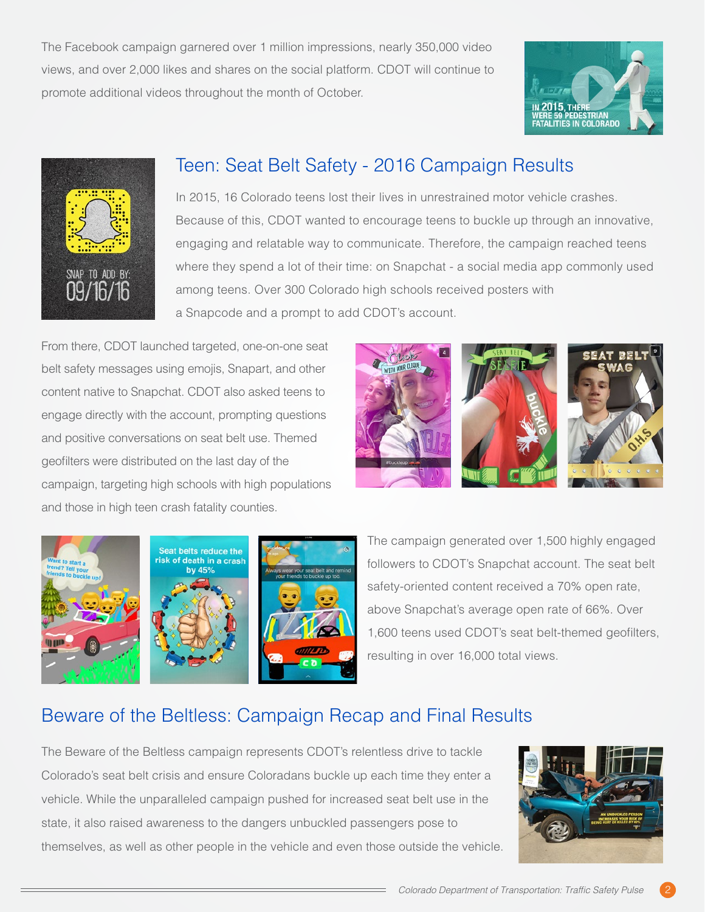The Facebook campaign garnered over 1 million impressions, nearly 350,000 video views, and over 2,000 likes and shares on the social platform. CDOT will continue to promote additional videos throughout the month of October.





### Teen: Seat Belt Safety - 2016 Campaign Results

In 2015, 16 Colorado teens lost their lives in unrestrained motor vehicle crashes. Because of this, CDOT wanted to encourage teens to buckle up through an innovative, engaging and relatable way to communicate. Therefore, the campaign reached teens where they spend a lot of their time: on Snapchat - a social media app commonly used among teens. Over 300 Colorado high schools received posters with a Snapcode and a prompt to add CDOT's account.

From there, CDOT launched targeted, one-on-one seat belt safety messages using emojis, Snapart, and other content native to Snapchat. CDOT also asked teens to engage directly with the account, prompting questions and positive conversations on seat belt use. Themed geofilters were distributed on the last day of the campaign, targeting high schools with high populations and those in high teen crash fatality counties.





The campaign generated over 1,500 highly engaged followers to CDOT's Snapchat account. The seat belt safety-oriented content received a 70% open rate, above Snapchat's average open rate of 66%. Over 1,600 teens used CDOT's seat belt-themed geofilters, resulting in over 16,000 total views.

### Beware of the Beltless: Campaign Recap and Final Results

The Beware of the Beltless campaign represents CDOT's relentless drive to tackle Colorado's seat belt crisis and ensure Coloradans buckle up each time they enter a vehicle. While the unparalleled campaign pushed for increased seat belt use in the state, it also raised awareness to the dangers unbuckled passengers pose to themselves, as well as other people in the vehicle and even those outside the vehicle.

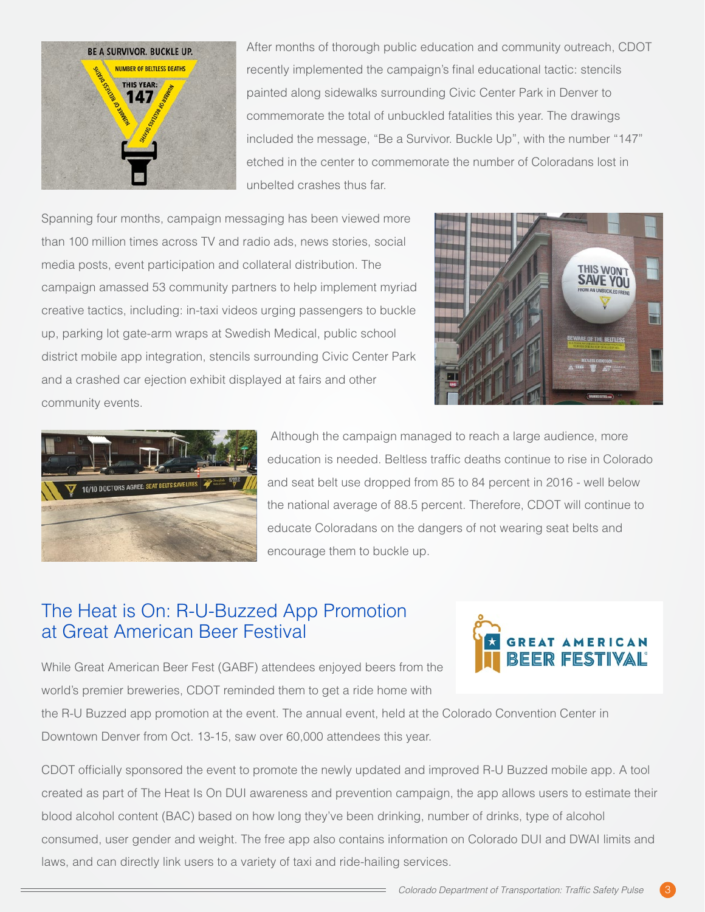

After months of thorough public education and community outreach, CDOT recently implemented the campaign's final educational tactic: stencils painted along sidewalks surrounding Civic Center Park in Denver to commemorate the total of unbuckled fatalities this year. The drawings included the message, "Be a Survivor. Buckle Up", with the number "147" etched in the center to commemorate the number of Coloradans lost in unbelted crashes thus far.

Spanning four months, campaign messaging has been viewed more than 100 million times across TV and radio ads, news stories, social media posts, event participation and collateral distribution. The campaign amassed 53 community partners to help implement myriad creative tactics, including: in-taxi videos urging passengers to buckle up, parking lot gate-arm wraps at Swedish Medical, public school district mobile app integration, stencils surrounding Civic Center Park and a crashed car ejection exhibit displayed at fairs and other community events.





 Although the campaign managed to reach a large audience, more education is needed. Beltless traffic deaths continue to rise in Colorado and seat belt use dropped from 85 to 84 percent in 2016 - well below the national average of 88.5 percent. Therefore, CDOT will continue to educate Coloradans on the dangers of not wearing seat belts and encourage them to buckle up.

#### The Heat is On: R-U-Buzzed App Promotion at Great American Beer Festival



While Great American Beer Fest (GABF) attendees enjoyed beers from the world's premier breweries, CDOT reminded them to get a ride home with

the R-U Buzzed app promotion at the event. The annual event, held at the Colorado Convention Center in Downtown Denver from Oct. 13-15, saw over 60,000 attendees this year.

CDOT officially sponsored the event to promote the newly updated and improved R-U Buzzed mobile app. A tool created as part of The Heat Is On DUI awareness and prevention campaign, the app allows users to estimate their blood alcohol content (BAC) based on how long they've been drinking, number of drinks, type of alcohol consumed, user gender and weight. The free app also contains information on Colorado DUI and DWAI limits and laws, and can directly link users to a variety of taxi and ride-hailing services.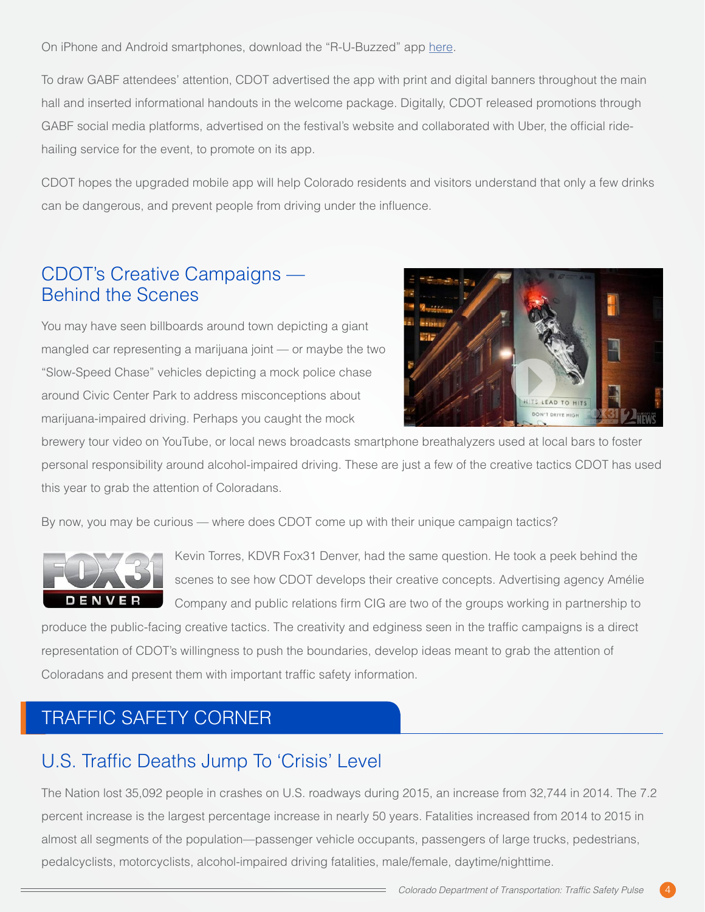On iPhone and Android smartphones, download the "R-U-Buzzed" app [here.](http://onelink.to/r-u-buzzed)

To draw GABF attendees' attention, CDOT advertised the app with print and digital banners throughout the main hall and inserted informational handouts in the welcome package. Digitally, CDOT released promotions through GABF social media platforms, advertised on the festival's website and collaborated with Uber, the official ridehailing service for the event, to promote on its app.

CDOT hopes the upgraded mobile app will help Colorado residents and visitors understand that only a few drinks can be dangerous, and prevent people from driving under the influence.

#### CDOT's Creative Campaigns — Behind the Scenes

You may have seen billboards around town depicting a giant mangled car representing a marijuana joint — or maybe the two "Slow-Speed Chase" vehicles depicting a mock police chase around Civic Center Park to address misconceptions about marijuana-impaired driving. Perhaps you caught the mock



brewery tour video on YouTube, or local news broadcasts smartphone breathalyzers used at local bars to foster personal responsibility around alcohol-impaired driving. These are just a few of the creative tactics CDOT has used this year to grab the attention of Coloradans.

By now, you may be curious — where does CDOT come up with their unique campaign tactics?



Kevin Torres, KDVR Fox31 Denver, had the same question. He took a peek behind the scenes to see how CDOT develops their creative concepts. Advertising agency Amélie Company and public relations firm CIG are two of the groups working in partnership to

produce the public-facing creative tactics. The creativity and edginess seen in the traffic campaigns is a direct representation of CDOT's willingness to push the boundaries, develop ideas meant to grab the attention of Coloradans and present them with important traffic safety information.

### TRAFFIC SAFETY CORNER

### U.S. Traffic Deaths Jump To 'Crisis' Level

The Nation lost 35,092 people in crashes on U.S. roadways during 2015, an increase from 32,744 in 2014. The 7.2 percent increase is the largest percentage increase in nearly 50 years. Fatalities increased from 2014 to 2015 in almost all segments of the population—passenger vehicle occupants, passengers of large trucks, pedestrians, pedalcyclists, motorcyclists, alcohol-impaired driving fatalities, male/female, daytime/nighttime.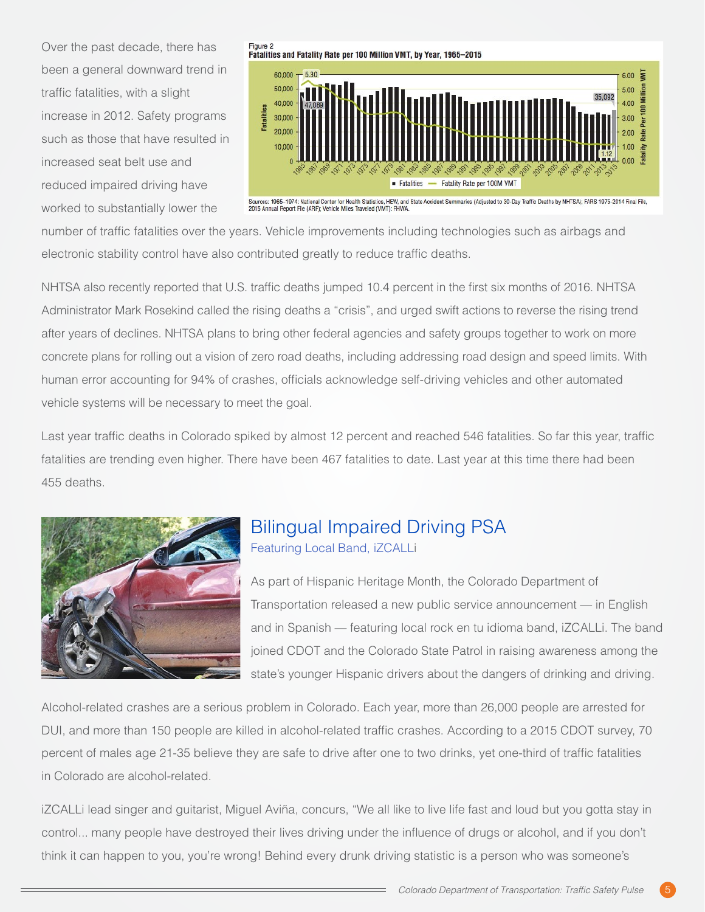Over the past decade, there has been a general downward trend in traffic fatalities, with a slight increase in 2012. Safety programs such as those that have resulted in increased seat belt use and reduced impaired driving have worked to substantially lower the





Sources: 1965–1974: National Center for Health Statistics, HEW, and State Accident Summaries (Adjusted to 30-Day Traffic Deaths by NHTSA); FARS 1975-2014 Final File,<br>2015 Annual Report File (ARF); Vehicle Miles Traveled (V

number of traffic fatalities over the years. Vehicle improvements including technologies such as airbags and electronic stability control have also contributed greatly to reduce traffic deaths.

NHTSA also recently reported that U.S. traffic deaths jumped 10.4 percent in the first six months of 2016. NHTSA Administrator Mark Rosekind called the rising deaths a "crisis", and urged swift actions to reverse the rising trend after years of declines. NHTSA plans to bring other federal agencies and safety groups together to work on more concrete plans for rolling out a vision of zero road deaths, including addressing road design and speed limits. With human error accounting for 94% of crashes, officials acknowledge self-driving vehicles and other automated vehicle systems will be necessary to meet the goal.

Last year traffic deaths in Colorado spiked by almost 12 percent and reached 546 fatalities. So far this year, traffic fatalities are trending even higher. There have been 467 fatalities to date. Last year at this time there had been 455 deaths.



#### Bilingual Impaired Driving PSA Featuring Local Band, iZCALLi

As part of Hispanic Heritage Month, the Colorado Department of Transportation released a new public service announcement — in English and in Spanish — featuring local rock en tu idioma band, iZCALLi. The band joined CDOT and the Colorado State Patrol in raising awareness among the state's younger Hispanic drivers about the dangers of drinking and driving.

Alcohol-related crashes are a serious problem in Colorado. Each year, more than 26,000 people are arrested for DUI, and more than 150 people are killed in alcohol-related traffic crashes. According to a 2015 CDOT survey, 70 percent of males age 21-35 believe they are safe to drive after one to two drinks, yet one-third of traffic fatalities in Colorado are alcohol-related.

iZCALLi lead singer and guitarist, Miguel Aviña, concurs, "We all like to live life fast and loud but you gotta stay in control... many people have destroyed their lives driving under the influence of drugs or alcohol, and if you don't think it can happen to you, you're wrong! Behind every drunk driving statistic is a person who was someone's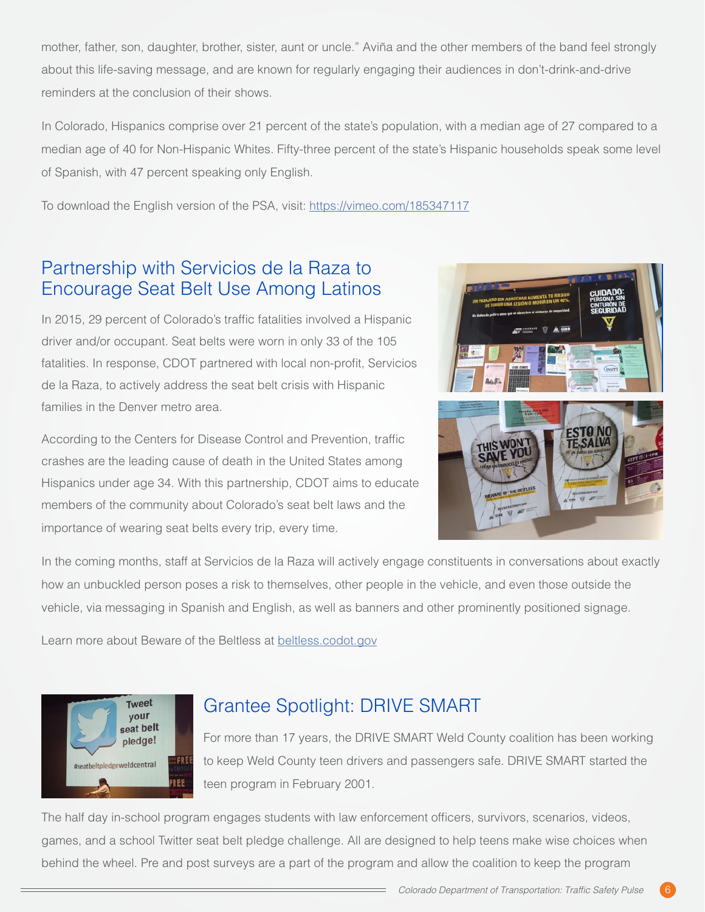mother, father, son, daughter, brother, sister, aunt or uncle." Aviña and the other members of the band feel strongly about this life-saving message, and are known for regularly engaging their audiences in don't-drink-and-drive reminders at the conclusion of their shows.

In Colorado, Hispanics comprise over 21 percent of the state's population, with a median age of 27 compared to a median age of 40 for Non-Hispanic Whites. Fifty-three percent of the state's Hispanic households speak some level of Spanish, with 47 percent speaking only English.

To download the English version of the PSA, visit: <https://vimeo.com/185347117>

### Partnership with Servicios de la Raza to Encourage Seat Belt Use Among Latinos

In 2015, 29 percent of Colorado's traffic fatalities involved a Hispanic driver and/or occupant. Seat belts were worn in only 33 of the 105 fatalities. In response, CDOT partnered with local non-profit, Servicios de la Raza, to actively address the seat belt crisis with Hispanic families in the Denver metro area.

According to the Centers for Disease Control and Prevention, traffic crashes are the leading cause of death in the United States among Hispanics under age 34. With this partnership, CDOT aims to educate members of the community about Colorado's seat belt laws and the importance of wearing seat belts every trip, every time.



In the coming months, staff at Servicios de la Raza will actively engage constituents in conversations about exactly how an unbuckled person poses a risk to themselves, other people in the vehicle, and even those outside the vehicle, via messaging in Spanish and English, as well as banners and other prominently positioned signage.

Learn more about Beware of the Beltless at [beltless.codot.gov](https://www.codot.gov/safety/seatbelts-carseats/year-of-the-seat-belt/beware-of-the-beltless)



### Grantee Spotlight: DRIVE SMART

For more than 17 years, the DRIVE SMART Weld County coalition has been working to keep Weld County teen drivers and passengers safe. DRIVE SMART started the teen program in February 2001.

The half day in-school program engages students with law enforcement officers, survivors, scenarios, videos, games, and a school Twitter seat belt pledge challenge. All are designed to help teens make wise choices when behind the wheel. Pre and post surveys are a part of the program and allow the coalition to keep the program